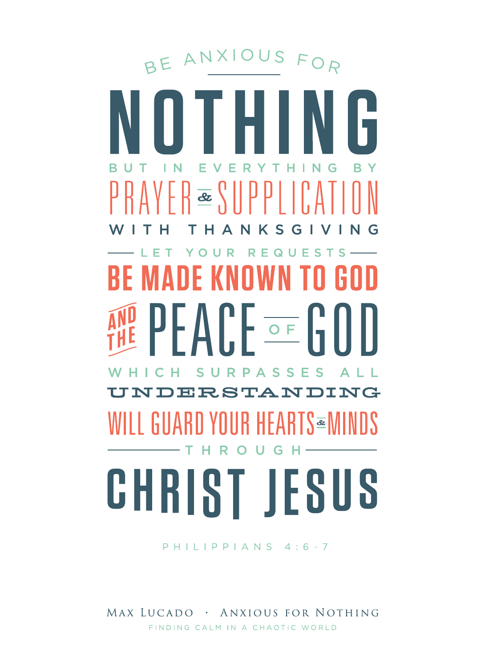BE ANXIOUS FOR  $\left\{\mathbb{E}\left[\left\{ \mathbb{E}\right[\mathbb{E}[\mathbb{E}[\mathbb{E}[\mathbb{E}[\mathbb{E}[\mathbb{E}[\mathbb{E}[\mathbb{E}[\mathbb{E}[\mathbb{E}[\mathbb{E}[\mathbb{E}[\mathbb{E}[\mathbb{E}[\mathbb{E}[\mathbb{E}[\mathbb{E}[\mathbb{E}[\mathbb{E}[\mathbb{E}[\mathbb{E}[\mathbb{E}[\mathbb{E}[\mathbb{E}[\mathbb{E}[\mathbb{E}[\mathbb{E}[\mathbb{E}[\mathbb{E}[\mathbb{E}[\mathbb{E}[\mathbb{E}[\mathbb{E}[\$ HANKSGIV OUR REQUEST **S** ANF KNOWN TO **AND PEACE OF GOOD** PASS S F. NDERSTANDING I GUARD YOUR HEARTS≊N -THR G - H

# CHRIST JESUS

#### PHILIPPIANS 4:6-7

#### MAX LUCADO , ANXIOUS FOR NOTHING FINDING CALM IN A CHAOTIC WORLD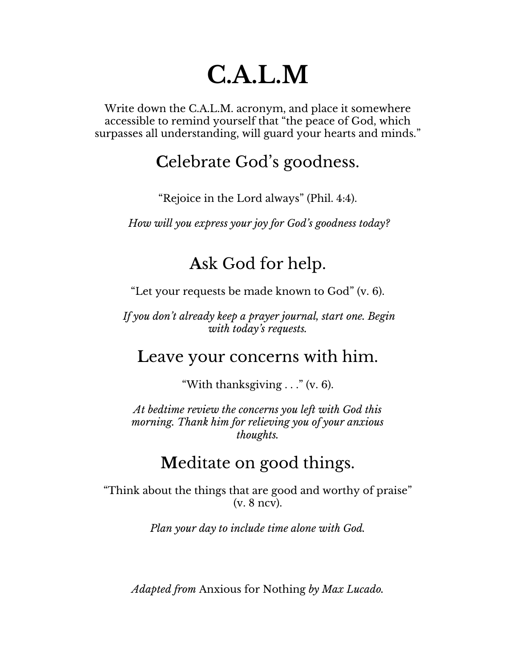# **C.A.L.M**

Write down the C.A.L.M. acronym, and place it somewhere accessible to remind yourself that "the peace of God, which surpasses all understanding, will guard your hearts and minds."

#### **C**elebrate God's goodness.

"Rejoice in the Lord always" (Phil. 4:4).

*How will you express your joy for God's goodness today?*

#### **A**sk God for help.

"Let your requests be made known to God" (v. 6).

*If you don't already keep a prayer journal, start one. Begin with today's requests.*

#### **L**eave your concerns with him.

"With thanksgiving . . ." (v. 6).

*At bedtime review the concerns you left with God this morning. Thank him for relieving you of your anxious thoughts.*

#### **M**editate on good things.

"Think about the things that are good and worthy of praise" (v. 8 ncv).

*Plan your day to include time alone with God.*

*Adapted from* Anxious for Nothing *by Max Lucado.*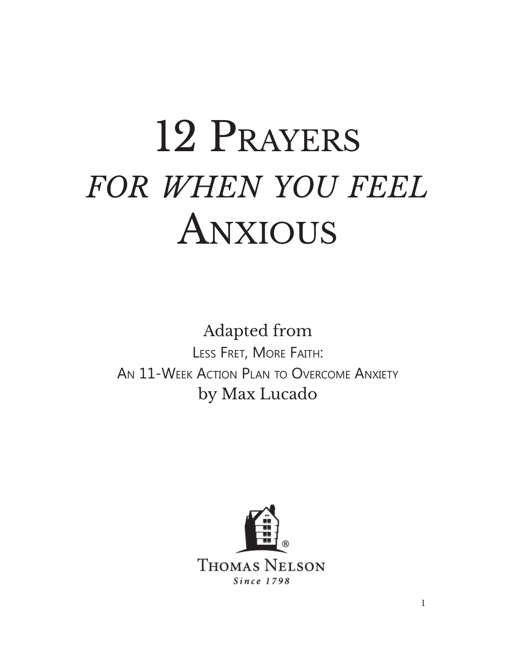# 12 Prayers *for when you feel* Anxious

Adapted from Less Fret, More Faith: An 11-Week Action Plan to Overcome Anxiety by Max Lucado

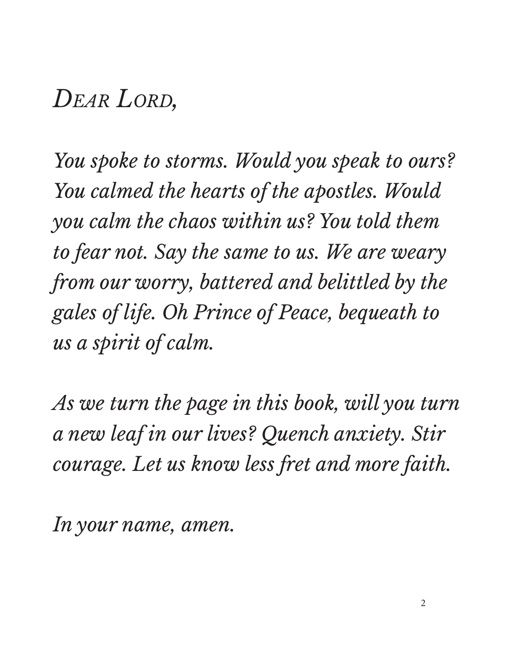#### *Dear Lord,*

*You spoke to storms. Would you speak to ours? You calmed the hearts of the apostles. Would you calm the chaos within us? You told them to fear not. Say the same to us. We are weary from our worry, battered and belittled by the gales of life. Oh Prince of Peace, bequeath to us a spirit of calm.* 

*As we turn the page in this book, will you turn a new leaf in our lives? Quench anxiety. Stir courage. Let us know less fret and more faith.* 

*In your name, amen.*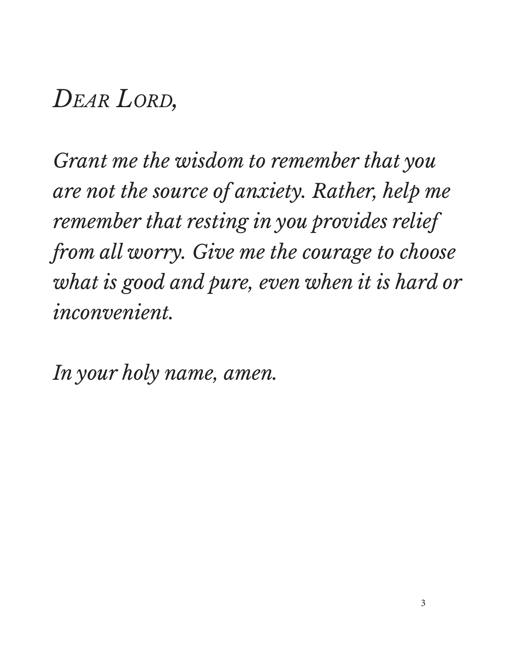#### *Dear Lord,*

*Grant me the wisdom to remember that you are not the source of anxiety. Rather, help me remember that resting in you provides relief from all worry. Give me the courage to choose what is good and pure, even when it is hard or inconvenient.*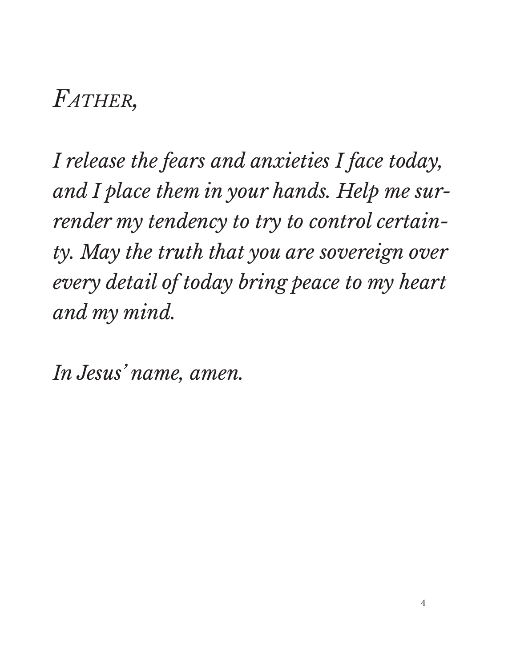# *Father,*

*I release the fears and anxieties I face today, and I place them in your hands. Help me surrender my tendency to try to control certainty. May the truth that you are sovereign over every detail of today bring peace to my heart and my mind.*

*In Jesus' name, amen.*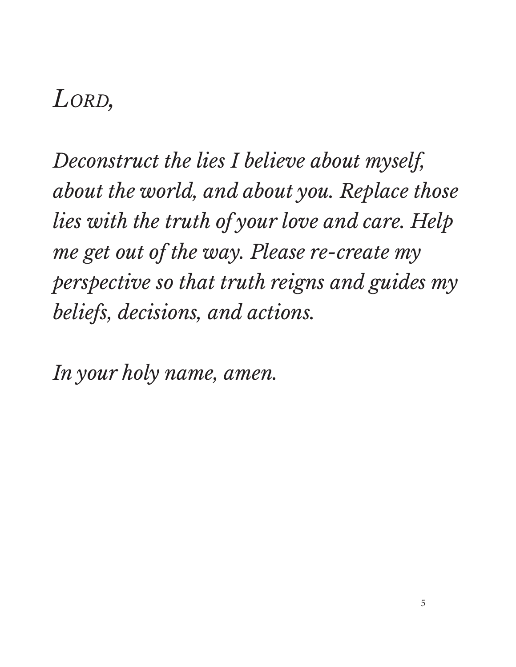*Deconstruct the lies I believe about myself, about the world, and about you. Replace those lies with the truth of your love and care. Help me get out of the way. Please re-create my perspective so that truth reigns and guides my beliefs, decisions, and actions.*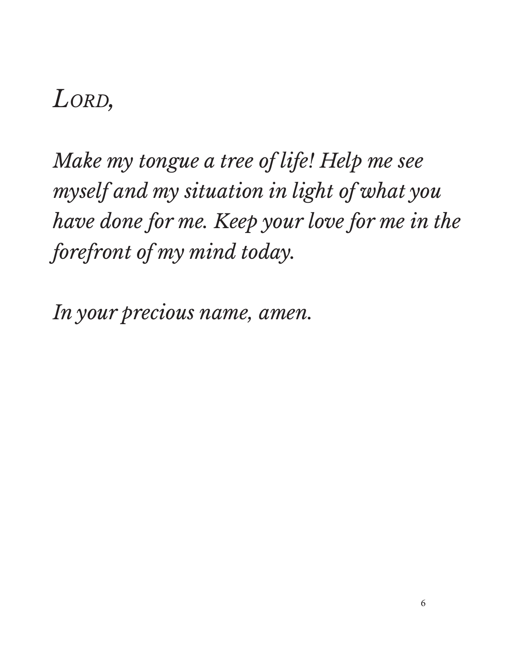*Make my tongue a tree of life! Help me see myself and my situation in light of what you have done for me. Keep your love for me in the forefront of my mind today.* 

*In your precious name, amen.*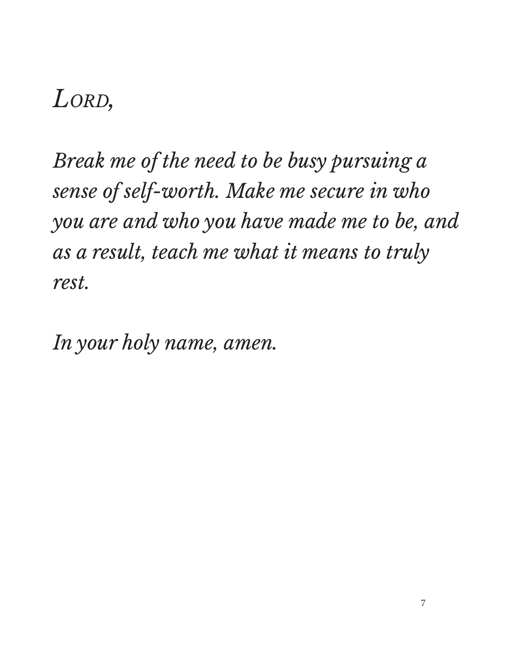*Break me of the need to be busy pursuing a sense of self-worth. Make me secure in who you are and who you have made me to be, and as a result, teach me what it means to truly rest.*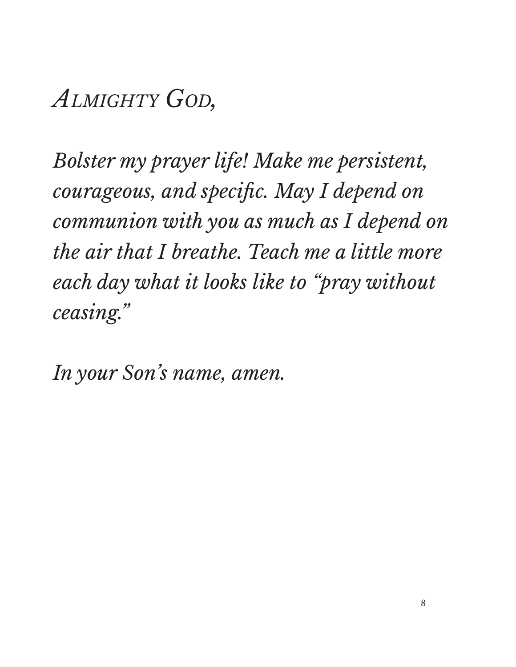*Almighty God,*

*Bolster my prayer life! Make me persistent, courageous, and specific. May I depend on communion with you as much as I depend on the air that I breathe. Teach me a little more each day what it looks like to "pray without ceasing."*

*In your Son's name, amen.*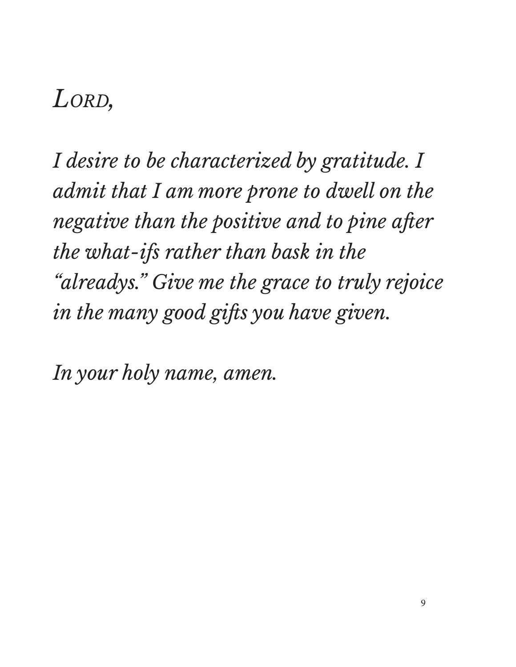*I desire to be characterized by gratitude. I admit that I am more prone to dwell on the negative than the positive and to pine after the what-ifs rather than bask in the "alreadys." Give me the grace to truly rejoice in the many good gifts you have given.*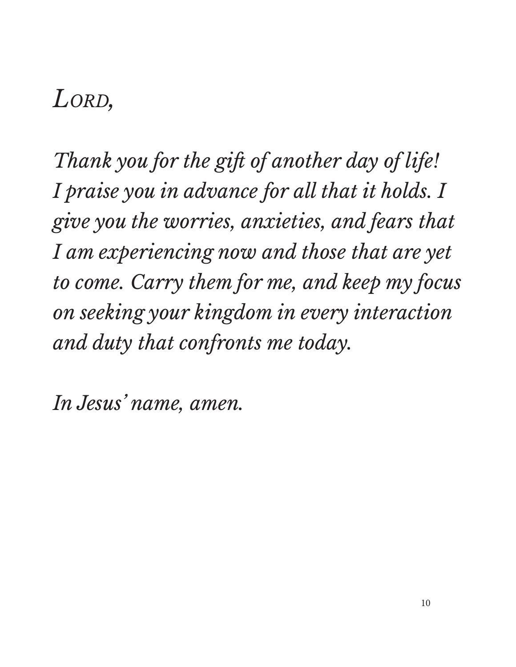*Thank you for the gift of another day of life! I praise you in advance for all that it holds. I give you the worries, anxieties, and fears that I am experiencing now and those that are yet to come. Carry them for me, and keep my focus on seeking your kingdom in every interaction and duty that confronts me today.*

*In Jesus' name, amen.*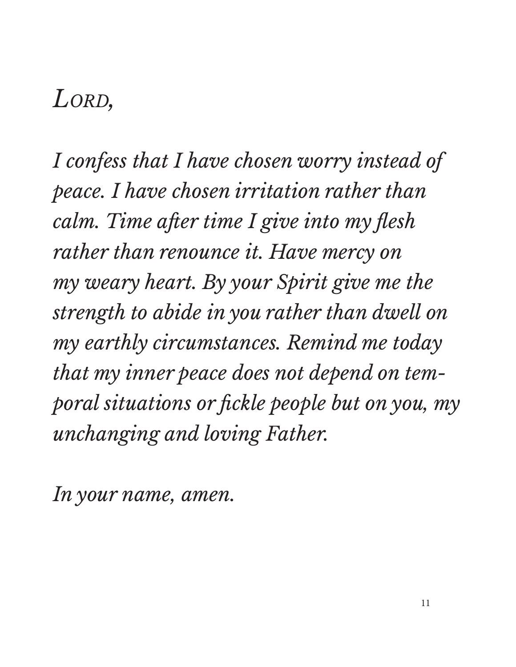*I confess that I have chosen worry instead of peace. I have chosen irritation rather than calm. Time after time I give into my flesh rather than renounce it. Have mercy on my weary heart. By your Spirit give me the strength to abide in you rather than dwell on my earthly circumstances. Remind me today that my inner peace does not depend on temporal situations or fickle people but on you, my unchanging and loving Father.*

*In your name, amen.*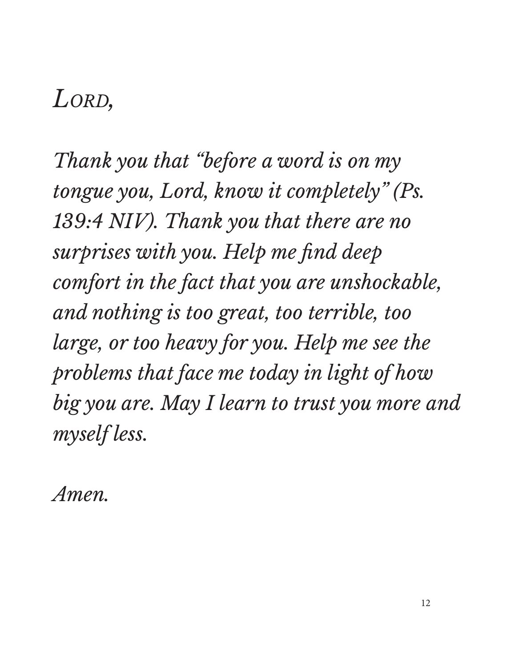*Thank you that "before a word is on my tongue you, Lord, know it completely" (Ps. 139:4 NIV). Thank you that there are no surprises with you. Help me find deep comfort in the fact that you are unshockable, and nothing is too great, too terrible, too large, or too heavy for you. Help me see the problems that face me today in light of how big you are. May I learn to trust you more and myself less.*

*Amen.*